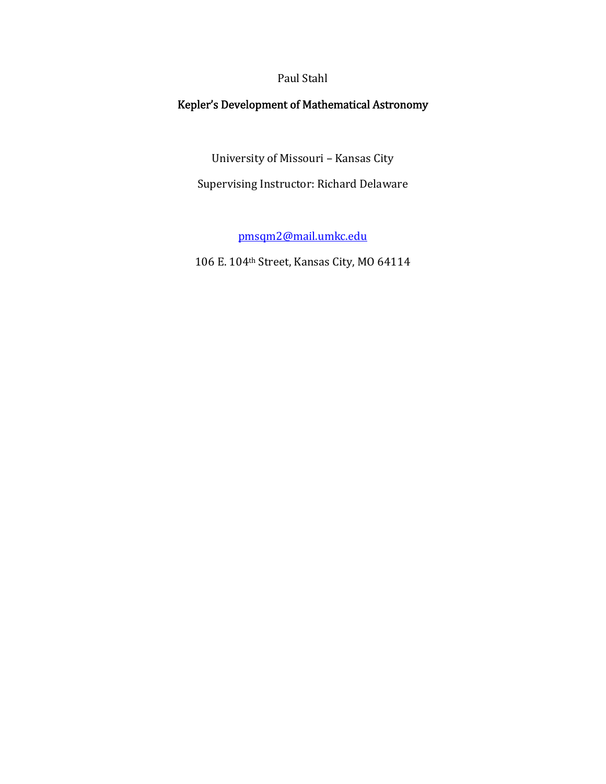## Paul Stahl

## Kepler's Development of Mathematical Astronomy

University of Missouri – Kansas City

Supervising Instructor: Richard Delaware

pmsqm2@mail.umkc.edu

106 E. 104th Street, Kansas City, MO 64114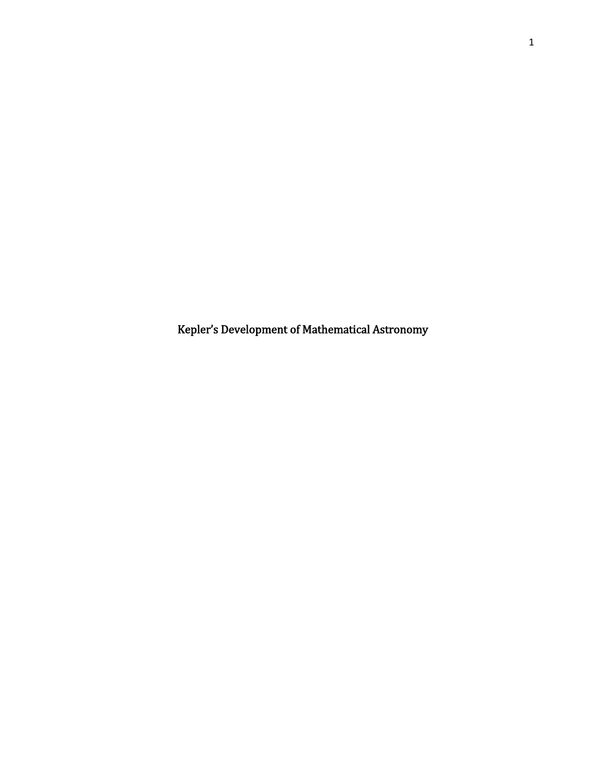Kepler's Development of Mathematical Astronomy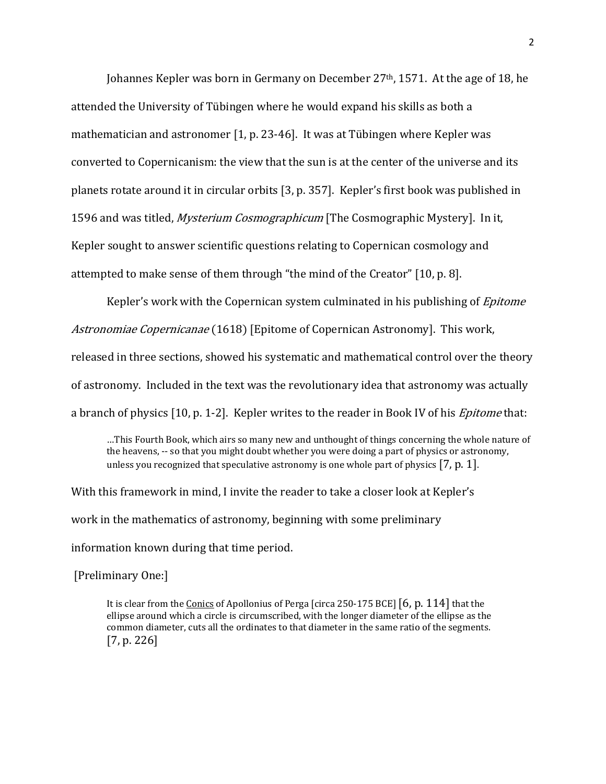Johannes Kepler was born in Germany on December 27<sup>th</sup>, 1571. At the age of 18, he attended the University of Tübingen where he would expand his skills as both a mathematician and astronomer  $[1, p. 23-46]$ . It was at Tübingen where Kepler was converted to Copernicanism: the view that the sun is at the center of the universe and its planets rotate around it in circular orbits [3, p. 357]. Kepler's first book was published in 1596 and was titled, *Mysterium Cosmographicum* [The Cosmographic Mystery]. In it, Kepler sought to answer scientific questions relating to Copernican cosmology and attempted to make sense of them through "the mind of the Creator" [10, p. 8].

Kepler's work with the Copernican system culminated in his publishing of *Epitome* Astronomiae Copernicanae (1618) [Epitome of Copernican Astronomy]. This work, released in three sections, showed his systematic and mathematical control over the theory of astronomy. Included in the text was the revolutionary idea that astronomy was actually a branch of physics  $[10, p. 1-2]$ . Kepler writes to the reader in Book IV of his *Epitome* that:

…This Fourth Book, which airs so many new and unthought of things concerning the whole nature of the heavens, -- so that you might doubt whether you were doing a part of physics or astronomy, unless you recognized that speculative astronomy is one whole part of physics  $[7, p. 1]$ .

With this framework in mind, I invite the reader to take a closer look at Kepler's work in the mathematics of astronomy, beginning with some preliminary information known during that time period.

[Preliminary One:]

It is clear from the Conics of Apollonius of Perga [circa 250-175 BCE]  $[6, p. 114]$  that the ellipse around which a circle is circumscribed, with the longer diameter of the ellipse as the common diameter, cuts all the ordinates to that diameter in the same ratio of the segments.  $[7, p. 226]$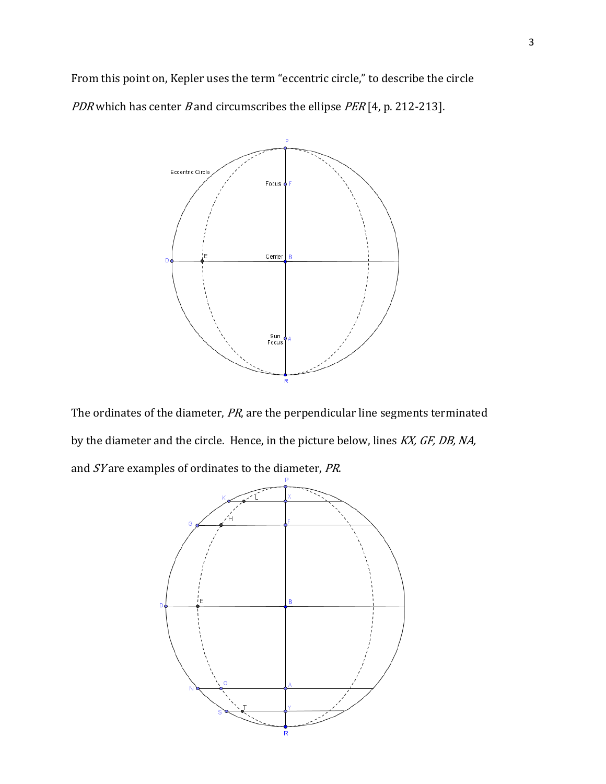From this point on, Kepler uses the term "eccentric circle," to describe the circle PDR which has center B and circumscribes the ellipse  $PER[4, p. 212-213]$ .



The ordinates of the diameter, PR, are the perpendicular line segments terminated by the diameter and the circle. Hence, in the picture below, lines KX, GF, DB, NA, and SY are examples of ordinates to the diameter, PR.

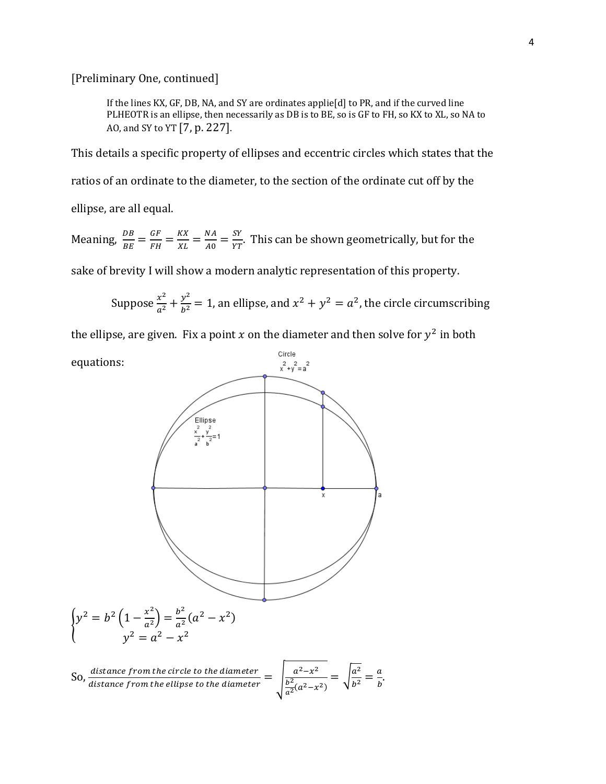[Preliminary One, continued]

If the lines KX, GF, DB, NA, and SY are ordinates applie[d] to PR, and if the curved line PLHEOTR is an ellipse, then necessarily as DB is to BE, so is GF to FH, so KX to XL, so NA to AO, and SY to YT  $[7, p. 227]$ .

This details a specific property of ellipses and eccentric circles which states that the ratios of an ordinate to the diameter, to the section of the ordinate cut off by the ellipse, are all equal.

Meaning,  $\frac{DB}{BE} = \frac{GF}{FH} = \frac{KX}{XL} = \frac{NA}{A0} = \frac{SY}{YT}$ . This can be shown geometrically, but for the

sake of brevity I will show a modern analytic representation of this property.

Suppose 
$$
\frac{x^2}{a^2} + \frac{y^2}{b^2} = 1
$$
, an ellipse, and  $x^2 + y^2 = a^2$ , the circle circumscribing

the ellipse, are given. Fix a point x on the diameter and then solve for  $y^2$  in both

Circle equations:  $x^2+y^2=a^2$ Ellipse  $\int y^2 = b^2 \left( 1 - \frac{x^2}{a^2} \right) = \frac{b^2}{a^2} (a^2 - x^2)$  $\int_{0}^{1} a^{2}y^{2} = a^{2} - x^{2}$ So, distance from the circle to the diameter  $=$   $\int_{\frac{b^2}{a^2}(a^2-x^2)}^{a^2-x^2}$  $=\sqrt{\frac{a^2}{b^2}}=\frac{a}{b}.$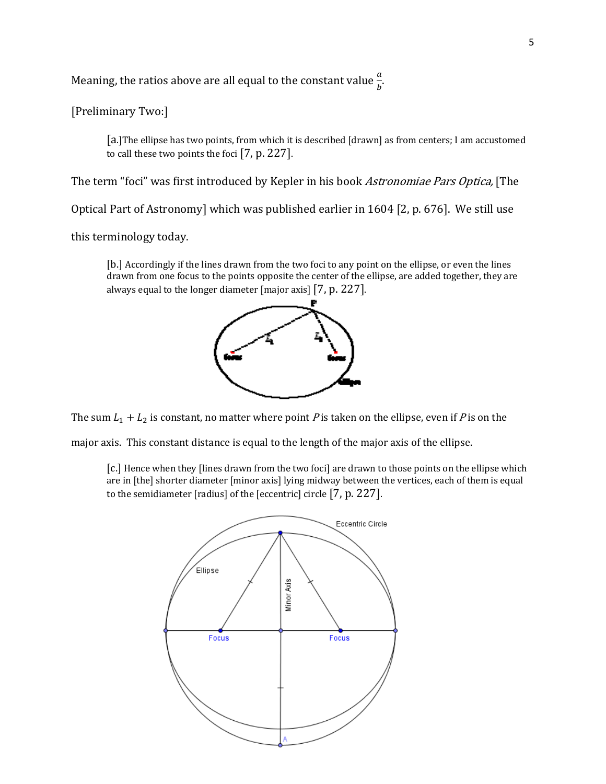Meaning, the ratios above are all equal to the constant value  $\frac{a}{b}$ .

[Preliminary Two:]

[a.] The ellipse has two points, from which it is described [drawn] as from centers; I am accustomed to call these two points the foci  $[7, p. 227]$ .

The term "foci" was first introduced by Kepler in his book Astronomiae Pars Optica, [The

Optical Part of Astronomy] which was published earlier in 1604 [2, p. 676]. We still use

this terminology today.

[b.] Accordingly if the lines drawn from the two foci to any point on the ellipse, or even the lines drawn from one focus to the points opposite the center of the ellipse, are added together, they are always equal to the longer diameter  $[major axis]$   $[7, p. 227]$ .



The sum  $L_1 + L_2$  is constant, no matter where point P is taken on the ellipse, even if P is on the

major axis. This constant distance is equal to the length of the major axis of the ellipse.

[c.] Hence when they [lines drawn from the two foci] are drawn to those points on the ellipse which are in [the] shorter diameter [minor axis] lying midway between the vertices, each of them is equal to the semidiameter [radius] of the  $[eccentric]$  circle  $[7, p. 227]$ .

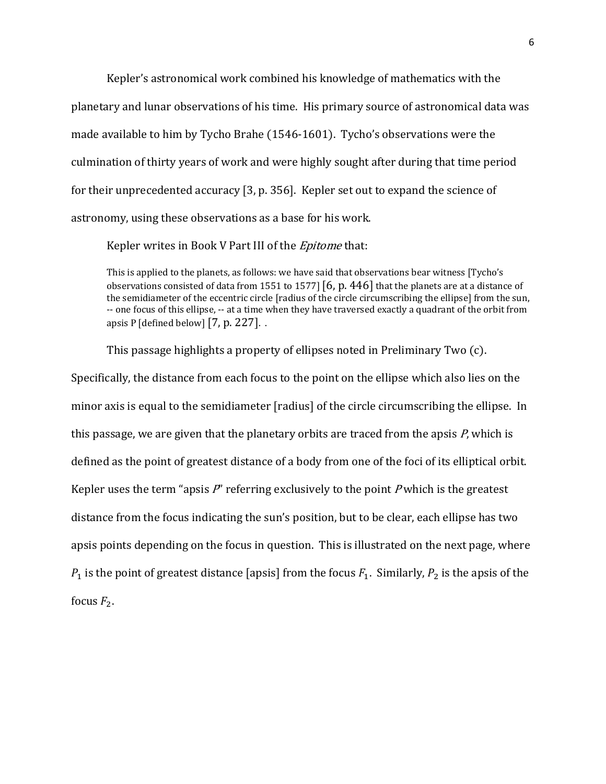Kepler's astronomical work combined his knowledge of mathematics with the planetary and lunar observations of his time. His primary source of astronomical data was made available to him by Tycho Brahe (1546-1601). Tycho's observations were the culmination of thirty years of work and were highly sought after during that time period for their unprecedented accuracy  $[3, p. 356]$ . Kepler set out to expand the science of astronomy, using these observations as a base for his work.

Kepler writes in Book V Part III of the *Epitome* that:

This is applied to the planets, as follows: we have said that observations bear witness [Tycho's observations consisted of data from 1551 to 1577  $[6, p. 446]$  that the planets are at a distance of the semidiameter of the eccentric circle [radius of the circle circumscribing the ellipse] from the sun, ‐‐ one focus of this ellipse, ‐‐ at a time when they have traversed exactly a quadrant of the orbit from apsis P  $\left[$  defined below $\left[ 7, p. 227 \right]$ .

This passage highlights a property of ellipses noted in Preliminary Two (c). Specifically, the distance from each focus to the point on the ellipse which also lies on the minor axis is equal to the semidiameter [radius] of the circle circumscribing the ellipse. In this passage, we are given that the planetary orbits are traced from the apsis  $P$ , which is defined as the point of greatest distance of a body from one of the foci of its elliptical orbit. Kepler uses the term "apsis  $P'$  referring exclusively to the point  $P$  which is the greatest distance from the focus indicating the sun's position, but to be clear, each ellipse has two apsis points depending on the focus in question. This is illustrated on the next page, where  $P_1$  is the point of greatest distance [apsis] from the focus  $F_1$ . Similarly,  $P_2$  is the apsis of the focus  $F_2$ .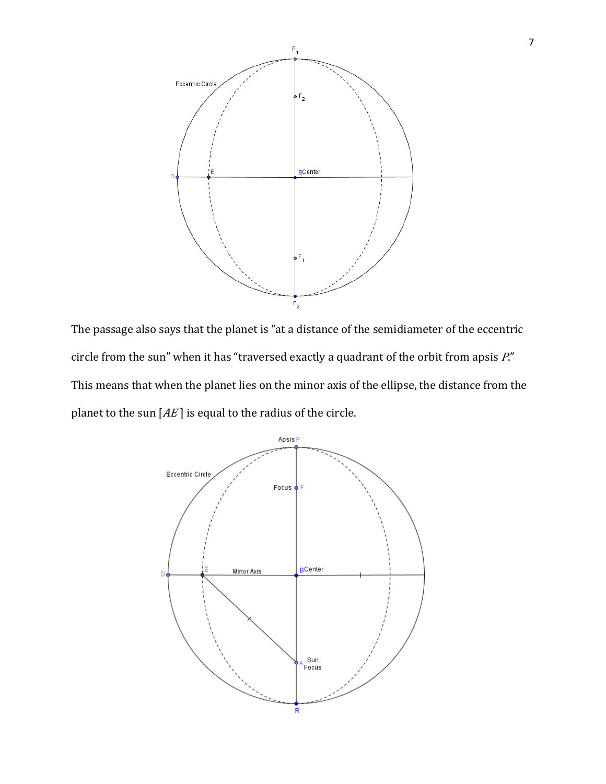

The passage also says that the planet is "at a distance of the semidiameter of the eccentric circle from the sun" when it has "traversed exactly a quadrant of the orbit from apsis P." This means that when the planet lies on the minor axis of the ellipse, the distance from the planet to the sun  $[AE]$  is equal to the radius of the circle.

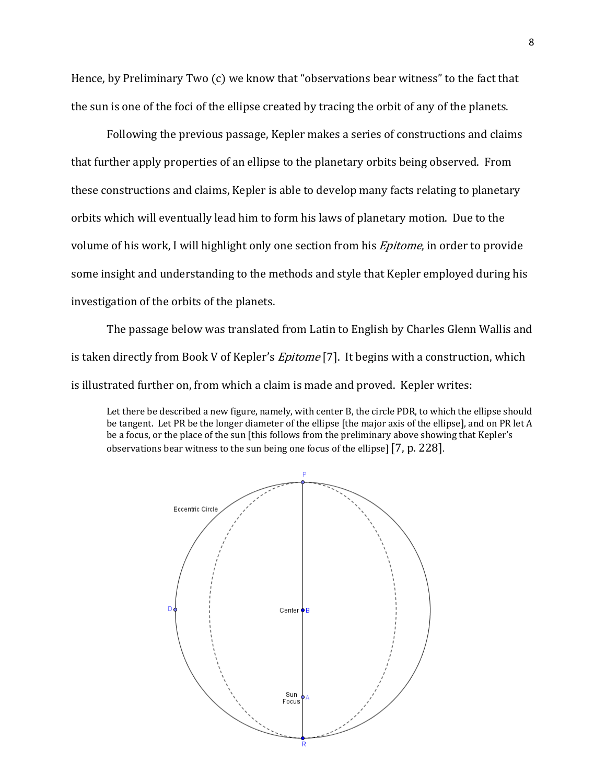Hence, by Preliminary Two (c) we know that "observations bear witness" to the fact that the sun is one of the foci of the ellipse created by tracing the orbit of any of the planets.

Following the previous passage, Kepler makes a series of constructions and claims that further apply properties of an ellipse to the planetary orbits being observed. From these constructions and claims, Kepler is able to develop many facts relating to planetary orbits which will eventually lead him to form his laws of planetary motion. Due to the volume of his work, I will highlight only one section from his *Epitome*, in order to provide some insight and understanding to the methods and style that Kepler employed during his investigation of the orbits of the planets.

The passage below was translated from Latin to English by Charles Glenn Wallis and is taken directly from Book V of Kepler's *Epitome* [7]. It begins with a construction, which is illustrated further on, from which a claim is made and proved. Kepler writes:

Let there be described a new figure, namely, with center B, the circle PDR, to which the ellipse should be tangent. Let PR be the longer diameter of the ellipse [the major axis of the ellipse], and on PR let A be a focus, or the place of the sun [this follows from the preliminary above showing that Kepler's observations bear witness to the sun being one focus of the ellipse]  $[7, p. 228]$ .

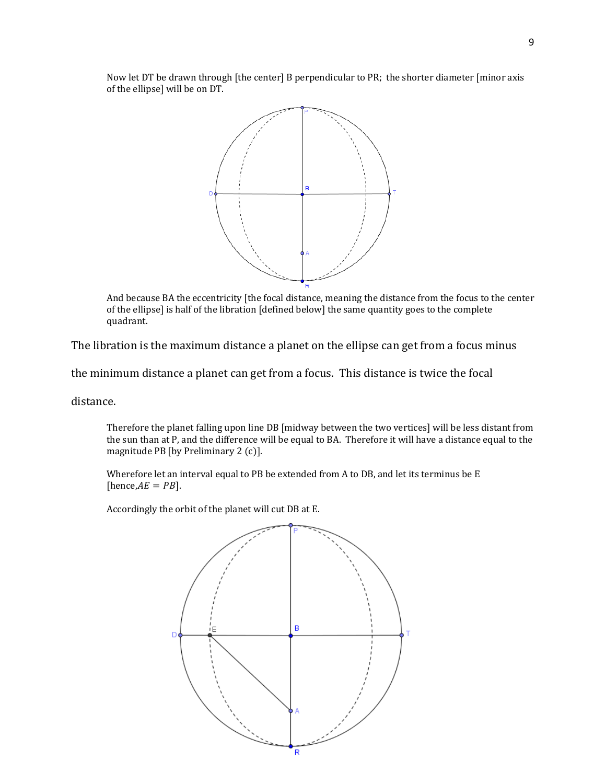Now let DT be drawn through [the center] B perpendicular to PR; the shorter diameter [minor axis of the ellipse] will be on DT.



And because BA the eccentricity [the focal distance, meaning the distance from the focus to the center of the ellipse] is half of the libration [defined below] the same quantity goes to the complete quadrant.

The libration is the maximum distance a planet on the ellipse can get from a focus minus

the minimum distance a planet can get from a focus. This distance is twice the focal

distance.

Therefore the planet falling upon line DB [midway between the two vertices] will be less distant from the sun than at P, and the difference will be equal to BA. Therefore it will have a distance equal to the magnitude PB  $[$ by Preliminary 2 $(c)$ ].

Wherefore let an interval equal to PB be extended from A to DB, and let its terminus be E [hence, $AE = PB$ ].

Accordingly the orbit of the planet will cut DB at E.

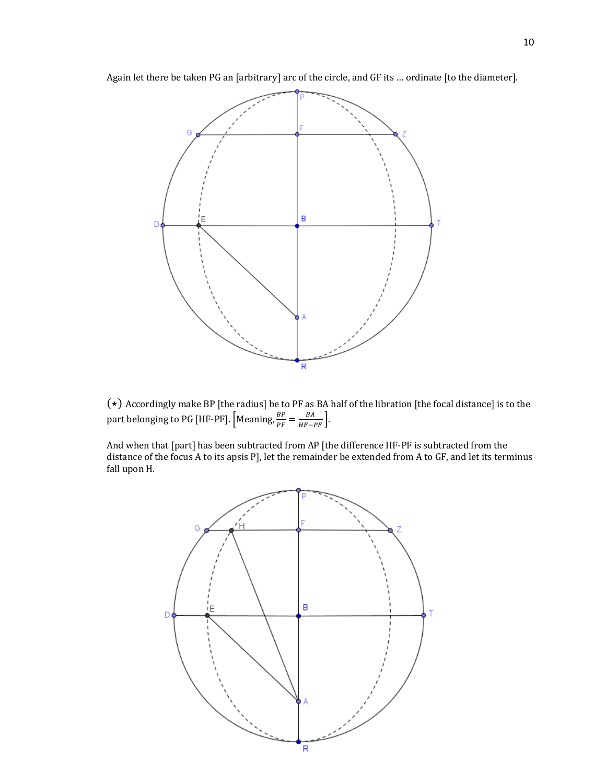Again let there be taken PG an [arbitrary] arc of the circle, and GF its ... ordinate [to the diameter].



 $(\star)$  Accordingly make BP [the radius] be to PF as BA half of the libration [the focal distance] is to the part belonging to PG [HF-PF].  $\left[\text{Meaning}, \frac{BP}{PF} = \frac{BA}{HF-PF}\right]$ .

And when that [part] has been subtracted from AP [the difference HF-PF is subtracted from the distance of the focus A to its apsis P], let the remainder be extended from A to GF, and let its terminus fall upon H.

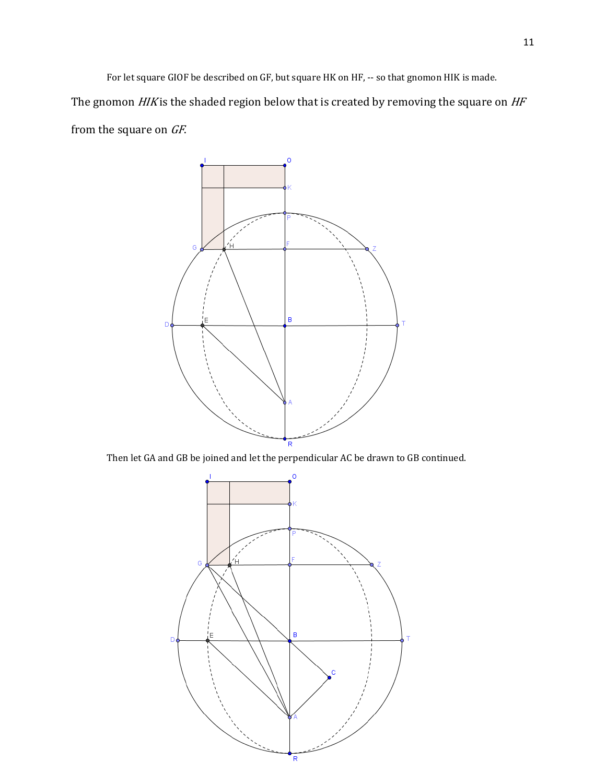For let square GIOF be described on GF, but square HK on HF, -- so that gnomon HIK is made. The gnomon  $H/K$  is the shaded region below that is created by removing the square on  $HF$ from the square on GF.



Then let GA and GB be joined and let the perpendicular AC be drawn to GB continued.

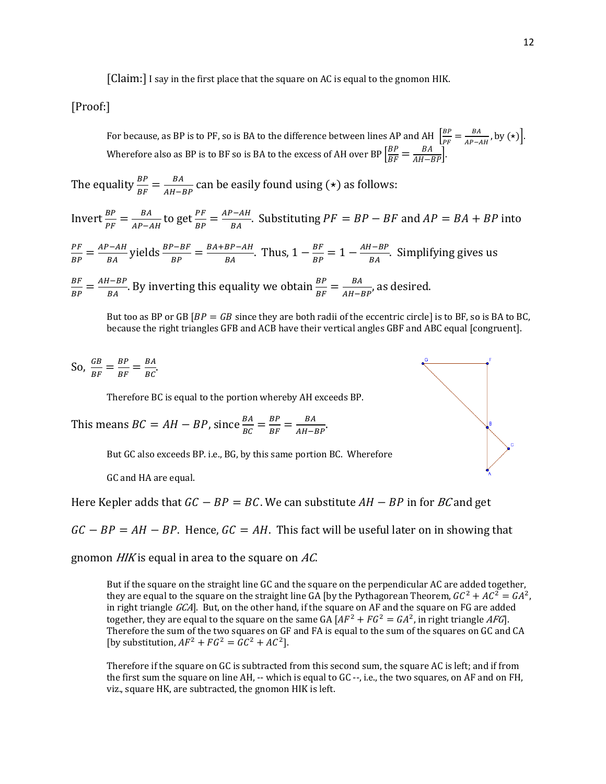[Claim:] I say in the first place that the square on AC is equal to the gnomon HIK.

[Proof:]

For because, as BP is to PF, so is BA to the difference between lines AP and AH  $\left[\frac{BP}{PF} = \frac{BA}{AP-AH}$ , by  $(\star)\right]$ . Wherefore also as BP is to BF so is BA to the excess of AH over BP  $\left[\frac{BP}{BF} = \frac{BA}{AH-BP}\right]$ .

The equality  $\frac{BP}{BF} = \frac{BA}{AH-BP}$  can be easily found using (\*) as follows:

Invert  $\frac{BP}{PF} = \frac{BA}{AP - AH}$  to get  $\frac{PF}{BP} = \frac{AP - AH}{BA}$ . Substituting  $PF = BP - BF$  and  $AP = BA + BP$  into

 $\frac{PF}{BP} = \frac{AP - AH}{BA}$  yields  $\frac{BP - BF}{BP} = \frac{BA + BP - AH}{BA}$ . Thus,  $1 - \frac{BF}{BP} = 1 - \frac{AH - BP}{BA}$ . Simplifying gives us

 $\frac{BF}{BP} = \frac{AH-BP}{BA}$ . By inverting this equality we obtain  $\frac{BP}{BF} = \frac{BA}{AH-BP}$ , as desired.

But too as BP or GB  $[BP = GB$  since they are both radii of the eccentric circle] is to BF, so is BA to BC, because the right triangles GFB and ACB have their vertical angles GBF and ABC equal [congruent].

So,  $\frac{GB}{BF} = \frac{BP}{BF} = \frac{BA}{BC}$ .

Therefore BC is equal to the portion whereby AH exceeds BP.

This means  $BC = AH - BP$ , since  $\frac{BA}{BC} = \frac{BP}{BF} = \frac{BA}{AH - BP}$ .

But GC also exceeds BP. i.e., BG, by this same portion BC. Wherefore

GC and HA are equal.

Here Kepler adds that  $GC - BP = BC$ . We can substitute  $AH - BP$  in for BC and get

 $GC - BP = AH - BP$ . Hence,  $GC = AH$ . This fact will be useful later on in showing that

gnomon  $H/K$  is equal in area to the square on AC.

But if the square on the straight line GC and the square on the perpendicular AC are added together, they are equal to the square on the straight line GA [by the Pythagorean Theorem,  $GC^2 + AC^2 = GA^2$ , in right triangle  $GCA$ ]. But, on the other hand, if the square on AF and the square on FG are added together, they are equal to the square on the same GA  $[AF^2 + FG^2 = GA^2$ , in right triangle AFG, Therefore the sum of the two squares on GF and FA is equal to the sum of the squares on GC and CA [by substitution,  $AF^2 + FG^2 = GC^2 + AC^2$ ].

Therefore if the square on GC is subtracted from this second sum, the square AC is left; and if from the first sum the square on line AH, -- which is equal to GC --, i.e., the two squares, on AF and on FH, viz., square HK, are subtracted, the gnomon HIK is left.

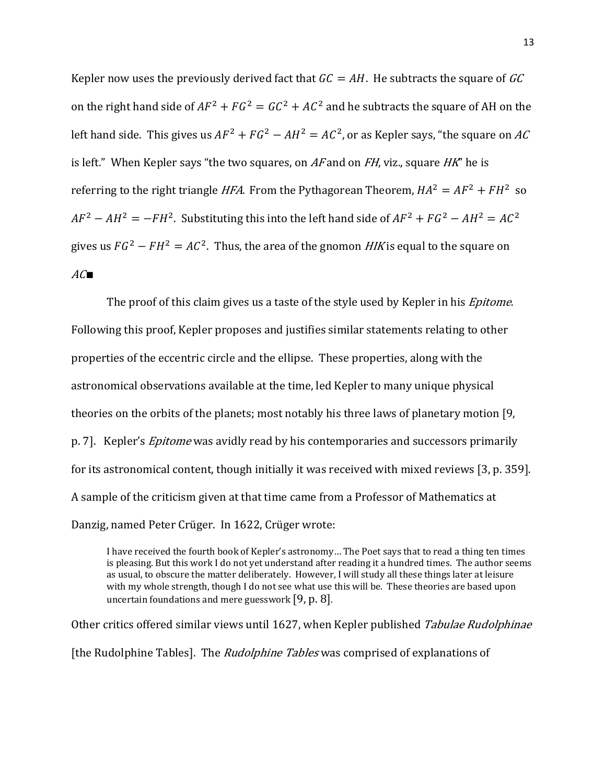Kepler now uses the previously derived fact that  $GC = AH$ . He subtracts the square of GC on the right hand side of  $AF^2 + FG^2 = GC^2 + AC^2$  and he subtracts the square of AH on the left hand side. This gives us  $AF^2 + FG^2 - AH^2 = AC^2$ , or as Kepler says, "the square on AC is left." When Kepler says "the two squares, on  $AF$  and on  $FH$ , viz., square  $HK$ " he is referring to the right triangle *HFA*. From the Pythagorean Theorem,  $HA^2 = AF^2 + FH^2$  so  $AF^2 - AH^2 = -FH^2$ . Substituting this into the left hand side of  $AF^2 + FG^2 - AH^2 = AC^2$ gives us  $FG^2 - FH^2 = AC^2$ . Thus, the area of the gnomon *HIK* is equal to the square on  $AC$ 

The proof of this claim gives us a taste of the style used by Kepler in his *Epitome*. Following this proof, Kepler proposes and justifies similar statements relating to other properties of the eccentric circle and the ellipse. These properties, along with the astronomical observations available at the time, led Kepler to many unique physical theories on the orbits of the planets; most notably his three laws of planetary motion [9, p. 7]. Kepler's *Epitome* was avidly read by his contemporaries and successors primarily for its astronomical content, though initially it was received with mixed reviews [3, p. 359]. A sample of the criticism given at that time came from a Professor of Mathematics at Danzig, named Peter Crüger. In 1622, Crüger wrote:

I have received the fourth book of Kepler's astronomy… The Poet says that to read a thing ten times is pleasing. But this work I do not yet understand after reading it a hundred times. The author seems as usual, to obscure the matter deliberately. However, I will study all these things later at leisure with my whole strength, though I do not see what use this will be. These theories are based upon uncertain foundations and mere guesswork  $[9, p. 8]$ .

Other critics offered similar views until 1627, when Kepler published Tabulae Rudolphinae [the Rudolphine Tables]. The *Rudolphine Tables* was comprised of explanations of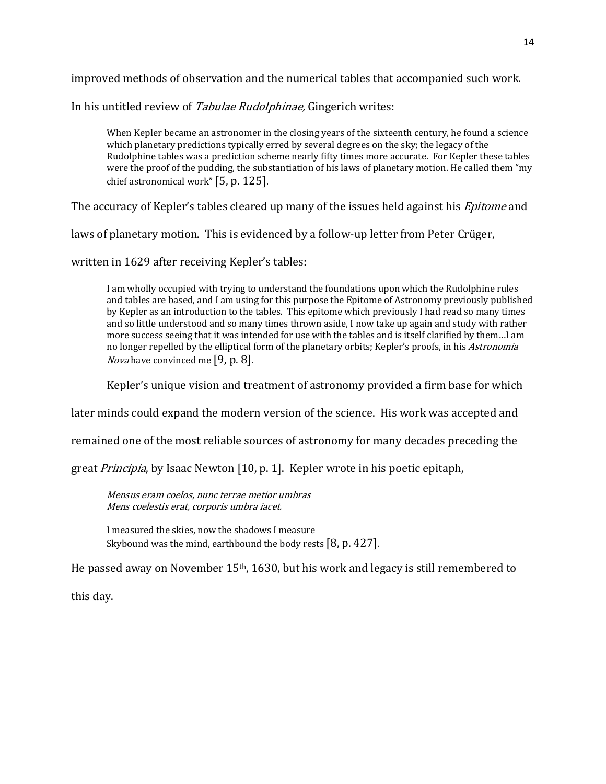improved methods of observation and the numerical tables that accompanied such work.

In his untitled review of Tabulae Rudolphinae, Gingerich writes:

When Kepler became an astronomer in the closing years of the sixteenth century, he found a science which planetary predictions typically erred by several degrees on the sky; the legacy of the Rudolphine tables was a prediction scheme nearly fifty times more accurate. For Kepler these tables were the proof of the pudding, the substantiation of his laws of planetary motion. He called them "my chief astronomical work"  $[5, p. 125]$ .

The accuracy of Kepler's tables cleared up many of the issues held against his *Epitome* and

laws of planetary motion. This is evidenced by a follow-up letter from Peter Crüger,

written in 1629 after receiving Kepler's tables:

I am wholly occupied with trying to understand the foundations upon which the Rudolphine rules and tables are based, and I am using for this purpose the Epitome of Astronomy previously published by Kepler as an introduction to the tables. This epitome which previously I had read so many times and so little understood and so many times thrown aside, I now take up again and study with rather more success seeing that it was intended for use with the tables and is itself clarified by them…I am no longer repelled by the elliptical form of the planetary orbits; Kepler's proofs, in his Astronomia *Nova* have convinced me  $[9, p. 8]$ .

Kepler's unique vision and treatment of astronomy provided a firm base for which

later minds could expand the modern version of the science. His work was accepted and

remained one of the most reliable sources of astronomy for many decades preceding the

great *Principia*, by Isaac Newton [10, p. 1]. Kepler wrote in his poetic epitaph,

Mensus eram coelos, nunc terrae metior umbras Mens coelestis erat, corporis umbra iacet.

I measured the skies, now the shadows I measure Skybound was the mind, earthbound the body rests  $[8, p. 427]$ .

He passed away on November  $15<sup>th</sup>$ , 1630, but his work and legacy is still remembered to

this day.